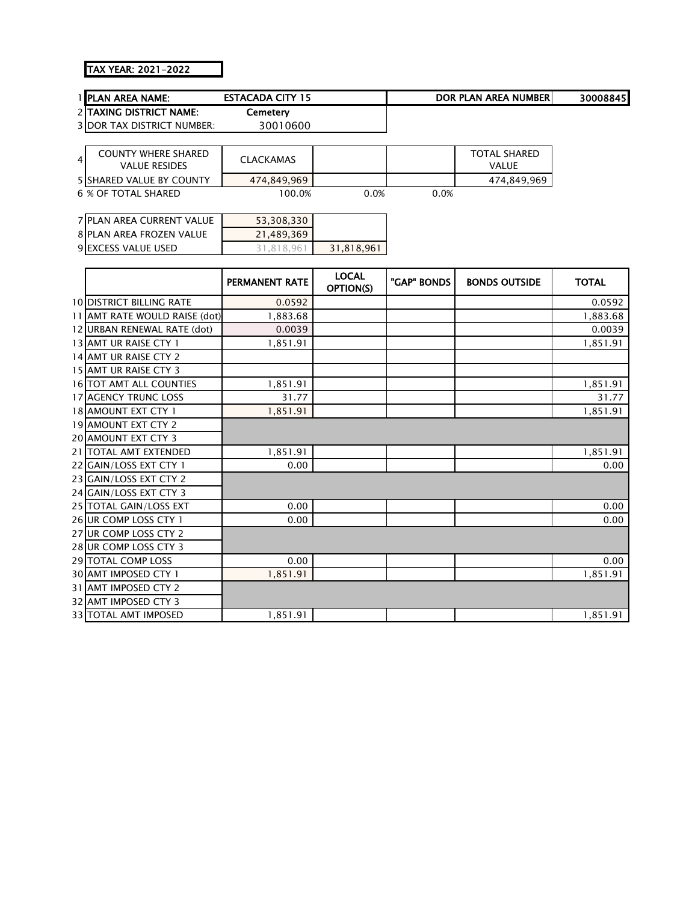## TAX YEAR: 2021-2022

| <b>I IPLAN AREA NAME:</b>         | <b>ESTACADA CITY 15</b> |  | DOR PLAN AREA NUMBERI | 30008845 |
|-----------------------------------|-------------------------|--|-----------------------|----------|
| 2 TAXING DISTRICT NAME:           | Cemetery                |  |                       |          |
| <b>3IDOR TAX DISTRICT NUMBER:</b> | 30010600                |  |                       |          |
|                                   |                         |  |                       |          |
| <b>COUNTY WHERE SHARED</b>        | _ _ _ _ _ _ _ _ _ _ _   |  | <b>TOTAL SHARED</b>   |          |

| COUNTY WHERE SHARED<br><b>VALUE RESIDES</b> | <b>CLACKAMAS</b> |      |      | TOTAL SHARED<br>VAI UF |
|---------------------------------------------|------------------|------|------|------------------------|
| <b>5ISHARED VALUE BY COUNTY</b>             | 474,849,969      |      |      | 474.849.969            |
| 6 % OF TOTAL SHARED                         | $00.0\%$         | ).0% | 0.0% |                        |

| 7 PLAN AREA CURRENT VALUE  | 53,308,330 |            |
|----------------------------|------------|------------|
| 8 PLAN AREA FROZEN VALUE   | 21.489.369 |            |
| <b>9 EXCESS VALUE USED</b> | 31.818.961 | 31.818.961 |

|                               | <b>PERMANENT RATE</b> | <b>LOCAL</b><br>OPTION(S) | "GAP" BONDS | <b>BONDS OUTSIDE</b> | <b>TOTAL</b> |
|-------------------------------|-----------------------|---------------------------|-------------|----------------------|--------------|
| 10 DISTRICT BILLING RATE      | 0.0592                |                           |             |                      | 0.0592       |
| 11 AMT RATE WOULD RAISE (dot) | 1,883.68              |                           |             |                      | 1,883.68     |
| 12 URBAN RENEWAL RATE (dot)   | 0.0039                |                           |             |                      | 0.0039       |
| 13 AMT UR RAISE CTY 1         | 1,851.91              |                           |             |                      | 1,851.91     |
| 14 AMT UR RAISE CTY 2         |                       |                           |             |                      |              |
| 15 AMT UR RAISE CTY 3         |                       |                           |             |                      |              |
| 16 TOT AMT ALL COUNTIES       | 1,851.91              |                           |             |                      | 1,851.91     |
| 17 AGENCY TRUNC LOSS          | 31.77                 |                           |             |                      | 31.77        |
| 18 AMOUNT EXT CTY 1           | 1,851.91              |                           |             |                      | 1,851.91     |
| 19 AMOUNT EXT CTY 2           |                       |                           |             |                      |              |
| <b>20 AMOUNT EXT CTY 3</b>    |                       |                           |             |                      |              |
| 21 TOTAL AMT EXTENDED         | 1,851.91              |                           |             |                      | 1,851.91     |
| 22 GAIN/LOSS EXT CTY 1        | 0.00                  |                           |             |                      | 0.00         |
| 23 GAIN/LOSS EXT CTY 2        |                       |                           |             |                      |              |
| 24 GAIN/LOSS EXT CTY 3        |                       |                           |             |                      |              |
| 25 TOTAL GAIN/LOSS EXT        | 0.00                  |                           |             |                      | 0.00         |
| 26 UR COMP LOSS CTY 1         | 0.00                  |                           |             |                      | 0.00         |
| 27 UR COMP LOSS CTY 2         |                       |                           |             |                      |              |
| 28 UR COMP LOSS CTY 3         |                       |                           |             |                      |              |
| 29 TOTAL COMP LOSS            | 0.00                  |                           |             |                      | 0.00         |
| 30 AMT IMPOSED CTY 1          | 1,851.91              |                           |             |                      | 1,851.91     |
| 31 AMT IMPOSED CTY 2          |                       |                           |             |                      |              |
| <b>32 AMT IMPOSED CTY 3</b>   |                       |                           |             |                      |              |
| <b>33 TOTAL AMT IMPOSED</b>   | 1,851.91              |                           |             |                      | 1,851.91     |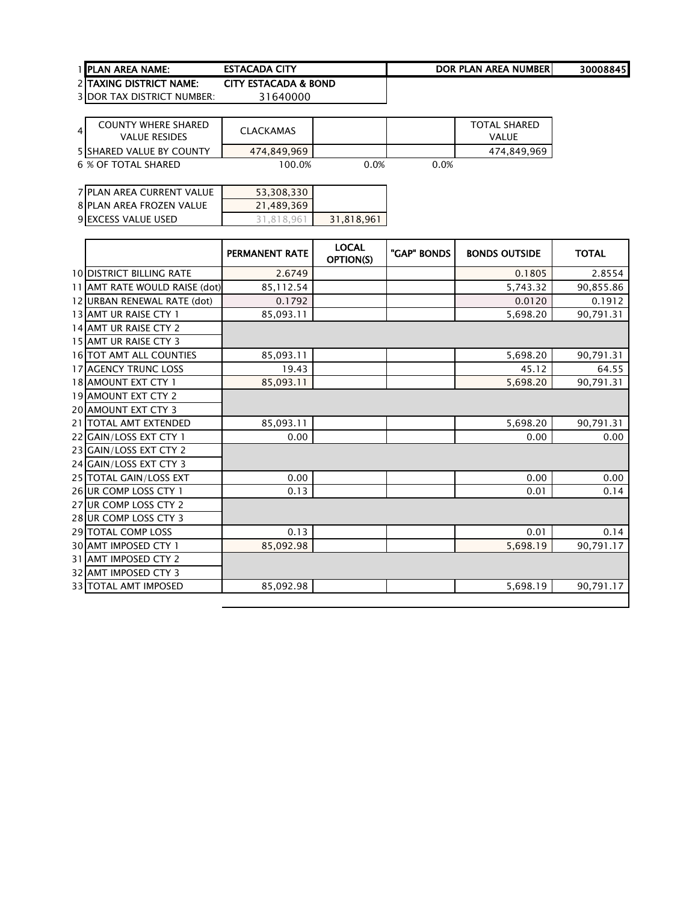| <b>TACADA</b><br><b>AREA NUMBER</b><br>CITV<br><b>DOP</b><br>LAN 1<br>DI.<br><b>1 IPLAN AREA NAME:</b><br>. | ---------------------- | -------------------- |                    |
|-------------------------------------------------------------------------------------------------------------|------------------------|----------------------|--------------------|
|                                                                                                             |                        |                      | 30008845<br>. т. . |

2 TAXING DISTRICT NAME: CITY ESTACADA & BOND<br>3 DOR TAX DISTRICT NUMBER: 31640000 3 DOR TAX DISTRICT NUMBER:

| COUNTY WHERE SHARED<br>$\overline{4}$<br><b>VALUE RESIDES</b> | <b>CLACKAMAS</b> |      |      | TOTAL SHARED<br>VALUE |
|---------------------------------------------------------------|------------------|------|------|-----------------------|
| 5 SHARED VALUE BY COUNTY                                      | 474.849.969      |      |      | 474,849,969           |
| 6 % OF TOTAL SHARED                                           | 100.0%           | 0.0% | 0.0% |                       |

| 7 PLAN AREA CURRENT VALUE  | 53,308,330 |            |
|----------------------------|------------|------------|
| 8 PLAN AREA FROZEN VALUE   | 21.489.369 |            |
| <b>9 EXCESS VALUE USED</b> | 31.818.961 | 31.818.961 |

|                                 | <b>PERMANENT RATE</b> | <b>LOCAL</b><br>OPTION(S) | "GAP" BONDS | <b>BONDS OUTSIDE</b> | <b>TOTAL</b> |
|---------------------------------|-----------------------|---------------------------|-------------|----------------------|--------------|
| <b>10 DISTRICT BILLING RATE</b> | 2.6749                |                           |             | 0.1805               | 2.8554       |
| 11 AMT RATE WOULD RAISE (dot)   | 85, 112.54            |                           |             | 5,743.32             | 90,855.86    |
| 12 URBAN RENEWAL RATE (dot)     | 0.1792                |                           |             | 0.0120               | 0.1912       |
| 13 AMT UR RAISE CTY 1           | 85,093.11             |                           |             | 5,698.20             | 90,791.31    |
| 14 AMT UR RAISE CTY 2           |                       |                           |             |                      |              |
| 15 AMT UR RAISE CTY 3           |                       |                           |             |                      |              |
| 16 TOT AMT ALL COUNTIES         | 85,093.11             |                           |             | 5,698.20             | 90,791.31    |
| <b>17 AGENCY TRUNC LOSS</b>     | 19.43                 |                           |             | 45.12                | 64.55        |
| 18 AMOUNT EXT CTY 1             | 85,093.11             |                           |             | 5,698.20             | 90,791.31    |
| <b>19 AMOUNT EXT CTY 2</b>      |                       |                           |             |                      |              |
| 20 AMOUNT EXT CTY 3             |                       |                           |             |                      |              |
| 21   TOTAL AMT EXTENDED         | 85,093.11             |                           |             | 5,698.20             | 90,791.31    |
| 22 GAIN/LOSS EXT CTY 1          | 0.00                  |                           |             | 0.00                 | 0.00         |
| 23 GAIN/LOSS EXT CTY 2          |                       |                           |             |                      |              |
| 24 GAIN/LOSS EXT CTY 3          |                       |                           |             |                      |              |
| 25 TOTAL GAIN/LOSS EXT          | 0.00                  |                           |             | 0.00                 | 0.00         |
| 26 UR COMP LOSS CTY 1           | 0.13                  |                           |             | 0.01                 | 0.14         |
| 27 UR COMP LOSS CTY 2           |                       |                           |             |                      |              |
| 28 UR COMP LOSS CTY 3           |                       |                           |             |                      |              |
| 29 TOTAL COMP LOSS              | 0.13                  |                           |             | 0.01                 | 0.14         |
| 30 AMT IMPOSED CTY 1            | 85,092.98             |                           |             | 5,698.19             | 90,791.17    |
| 31 AMT IMPOSED CTY 2            |                       |                           |             |                      |              |
| 32 AMT IMPOSED CTY 3            |                       |                           |             |                      |              |
| <b>33 TOTAL AMT IMPOSED</b>     | 85,092.98             |                           |             | 5,698.19             | 90,791.17    |
|                                 |                       |                           |             |                      |              |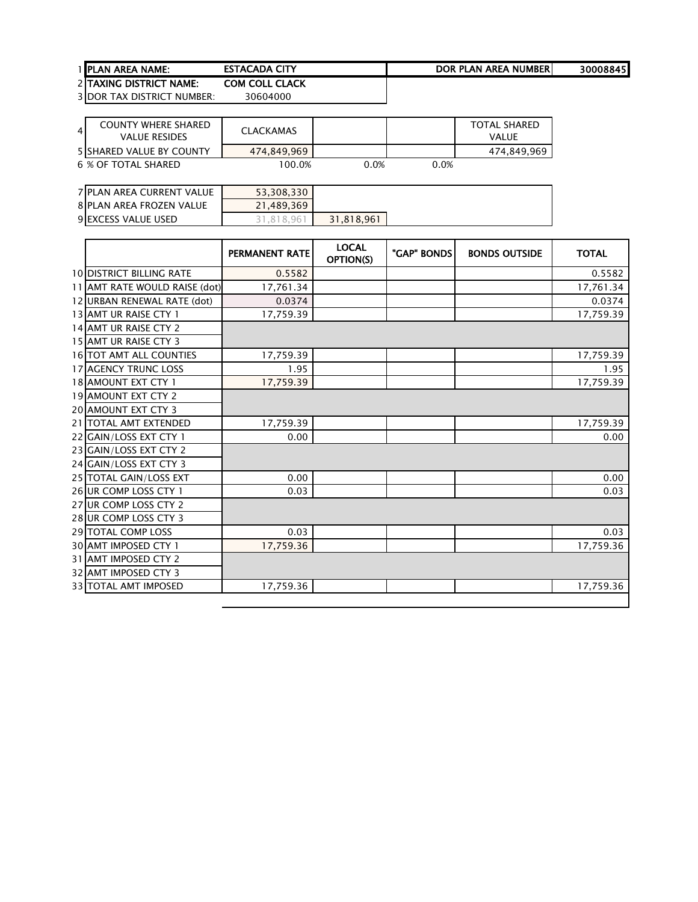| <b>1 IPLAN AREA NAME:</b>      | <b>ESTACADA</b><br>CIV<br>` | DOR PLAN AREA NUMBERI | 30008845 |
|--------------------------------|-----------------------------|-----------------------|----------|
| <b>DITAVING DISTRICT NAME:</b> | COM COLL CLACK              |                       |          |

2 TAXING DISTRICT NAME: COM COLL CLA<br>3 DOR TAX DISTRICT NUMBER: 30604000 3 DOR TAX DISTRICT NUMBER:

| $\overline{4}$ | <b>COUNTY WHERE SHARED</b><br>VALUE RESIDES | <b>CLACKAMAS</b> |      |         | TOTAL SHARED<br>VALUE |
|----------------|---------------------------------------------|------------------|------|---------|-----------------------|
|                | <b>5 SHARED VALUE BY COUNTY</b>             | 474.849.969      |      |         | 474,849,969           |
|                | 6 % OF TOTAL SHARED                         | 100.0%           | 0.0% | $0.0\%$ |                       |

| 7 PLAN AREA CURRENT VALUE | 53,308,330  |            |
|---------------------------|-------------|------------|
| 8 PLAN AREA FROZEN VALUE  | 21,489,369  |            |
| 9 EXCESS VALUE USED       | 8.96<br>-81 | 31,818,961 |

|                                 | PERMANENT RATE | <b>LOCAL</b><br>OPTION(S) | "GAP" BONDS | <b>BONDS OUTSIDE</b> | <b>TOTAL</b> |
|---------------------------------|----------------|---------------------------|-------------|----------------------|--------------|
| <b>10 DISTRICT BILLING RATE</b> | 0.5582         |                           |             |                      | 0.5582       |
| 11 AMT RATE WOULD RAISE (dot)   | 17,761.34      |                           |             |                      | 17,761.34    |
| 12 URBAN RENEWAL RATE (dot)     | 0.0374         |                           |             |                      | 0.0374       |
| 13 AMT UR RAISE CTY 1           | 17,759.39      |                           |             |                      | 17,759.39    |
| 14 AMT UR RAISE CTY 2           |                |                           |             |                      |              |
| 15 AMT UR RAISE CTY 3           |                |                           |             |                      |              |
| 16 TOT AMT ALL COUNTIES         | 17,759.39      |                           |             |                      | 17,759.39    |
| <b>17 AGENCY TRUNC LOSS</b>     | 1.95           |                           |             |                      | 1.95         |
| 18 AMOUNT EXT CTY 1             | 17,759.39      |                           |             |                      | 17,759.39    |
| <b>19 AMOUNT EXT CTY 2</b>      |                |                           |             |                      |              |
| <b>20 AMOUNT EXT CTY 3</b>      |                |                           |             |                      |              |
| 21   TOTAL AMT EXTENDED         | 17,759.39      |                           |             |                      | 17,759.39    |
| 22 GAIN/LOSS EXT CTY 1          | 0.00           |                           |             |                      | 0.00         |
| 23 GAIN/LOSS EXT CTY 2          |                |                           |             |                      |              |
| 24 GAIN/LOSS EXT CTY 3          |                |                           |             |                      |              |
| 25 TOTAL GAIN/LOSS EXT          | 0.00           |                           |             |                      | 0.00         |
| 26 UR COMP LOSS CTY 1           | 0.03           |                           |             |                      | 0.03         |
| 27 UR COMP LOSS CTY 2           |                |                           |             |                      |              |
| 28 UR COMP LOSS CTY 3           |                |                           |             |                      |              |
| 29 TOTAL COMP LOSS              | 0.03           |                           |             |                      | 0.03         |
| <b>30 AMT IMPOSED CTY 1</b>     | 17,759.36      |                           |             |                      | 17,759.36    |
| 31 AMT IMPOSED CTY 2            |                |                           |             |                      |              |
| <b>32 AMT IMPOSED CTY 3</b>     |                |                           |             |                      |              |
| <b>33 TOTAL AMT IMPOSED</b>     | 17,759.36      |                           |             |                      | 17,759.36    |
|                                 |                |                           |             |                      |              |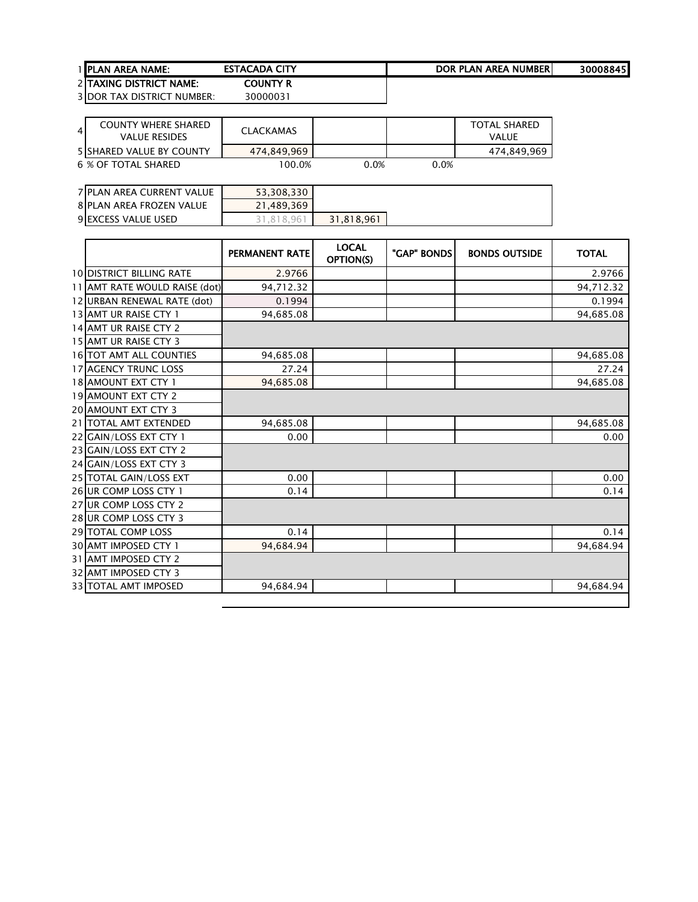| <b>1 IPLAN AREA NAME:</b>       | <b>ESTACADA CITY</b> | DOR PLAN AREA NUMBERI | 30008845 |
|---------------------------------|----------------------|-----------------------|----------|
| <b>2 ITAXING DISTRICT NAME:</b> | County R             |                       |          |

| $\overline{4}$ | <b>COUNTY WHERE SHARED</b><br>VALUE RESIDES | CLACKAMAS   |         |      | <b>TOTAL SHARED</b><br><b>VALUE</b> |
|----------------|---------------------------------------------|-------------|---------|------|-------------------------------------|
|                | <b>5 SHARED VALUE BY COUNTY</b>             | 474.849.969 |         |      | 474,849,969                         |
|                | 6 % OF TOTAL SHARED                         | 100.0%      | $0.0\%$ | 0.0% |                                     |

| 7 PLAN AREA CURRENT VALUE  | 53,308,330 |            |
|----------------------------|------------|------------|
| 8 PLAN AREA FROZEN VALUE   | 21,489,369 |            |
| <b>9 EXCESS VALUE USED</b> | 31.818.96  | 31,818,961 |

|                                 | <b>PERMANENT RATE</b> | <b>LOCAL</b><br>OPTION(S) | "GAP" BONDS | <b>BONDS OUTSIDE</b> | <b>TOTAL</b> |
|---------------------------------|-----------------------|---------------------------|-------------|----------------------|--------------|
| <b>10 DISTRICT BILLING RATE</b> | 2.9766                |                           |             |                      | 2.9766       |
| 11 AMT RATE WOULD RAISE (dot)   | 94,712.32             |                           |             |                      | 94,712.32    |
| 12 URBAN RENEWAL RATE (dot)     | 0.1994                |                           |             |                      | 0.1994       |
| 13 AMT UR RAISE CTY 1           | 94,685.08             |                           |             |                      | 94,685.08    |
| 14 AMT UR RAISE CTY 2           |                       |                           |             |                      |              |
| 15 AMT UR RAISE CTY 3           |                       |                           |             |                      |              |
| 16 TOT AMT ALL COUNTIES         | 94,685.08             |                           |             |                      | 94,685.08    |
| <b>17 AGENCY TRUNC LOSS</b>     | 27.24                 |                           |             |                      | 27.24        |
| 18 AMOUNT EXT CTY 1             | 94,685.08             |                           |             |                      | 94,685.08    |
| <b>19 AMOUNT EXT CTY 2</b>      |                       |                           |             |                      |              |
| 20 AMOUNT EXT CTY 3             |                       |                           |             |                      |              |
| 21   TOTAL AMT EXTENDED         | 94,685.08             |                           |             |                      | 94,685.08    |
| 22 GAIN/LOSS EXT CTY 1          | 0.00                  |                           |             |                      | 0.00         |
| 23 GAIN/LOSS EXT CTY 2          |                       |                           |             |                      |              |
| 24 GAIN/LOSS EXT CTY 3          |                       |                           |             |                      |              |
| 25 TOTAL GAIN/LOSS EXT          | 0.00                  |                           |             |                      | 0.00         |
| 26 UR COMP LOSS CTY 1           | 0.14                  |                           |             |                      | 0.14         |
| 27 UR COMP LOSS CTY 2           |                       |                           |             |                      |              |
| 28 UR COMP LOSS CTY 3           |                       |                           |             |                      |              |
| 29 TOTAL COMP LOSS              | 0.14                  |                           |             |                      | 0.14         |
| 30 AMT IMPOSED CTY 1            | 94.684.94             |                           |             |                      | 94.684.94    |
| 31 AMT IMPOSED CTY 2            |                       |                           |             |                      |              |
| 32 AMT IMPOSED CTY 3            |                       |                           |             |                      |              |
| 33 TOTAL AMT IMPOSED            | 94,684.94             |                           |             |                      | 94,684.94    |
|                                 |                       |                           |             |                      |              |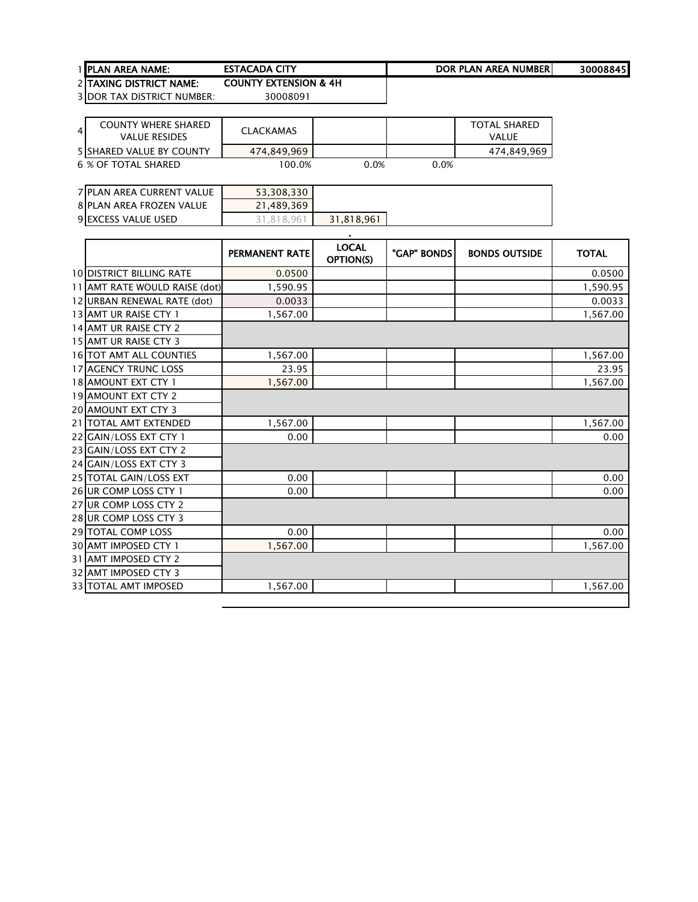1 <u>PLAN AREA NAME:</u> ESTACADA CITY **ESTACADA ESTACADA DE REALISTA ESTACADA ESTACADA ESTACADA EN ENTENDE EN ENGL** 

COUNTY EXTENSION & 4H

 TAXING DISTRICT NAME: DOR TAX DISTRICT NUMBER: 30008091

4 COUNTY WHERE SHARED<br>VALUE RESIDES VALUE RESIDES CLACKAMAS TOTAL SHARED VALUE 5 SHARED VALUE BY COUNTY **1474,849,969**<br>
6 % OF TOTAL SHARED 100.0% 0.0% 0.0% 0.0% **6 % OF TOTAL SHARED** 

| 7 PLAN AREA CURRENT VALUE  | 53,308,330 |            |
|----------------------------|------------|------------|
| 8 PLAN AREA FROZEN VALUE   | 21,489,369 |            |
| <b>9 EXCESS VALUE USED</b> | .818.96    | 31,818,961 |

|                                 | <b>PERMANENT RATE</b> | <b>LOCAL</b><br>OPTION(S) | "GAP" BONDS | <b>BONDS OUTSIDE</b> | <b>TOTAL</b> |
|---------------------------------|-----------------------|---------------------------|-------------|----------------------|--------------|
| <b>10 DISTRICT BILLING RATE</b> | 0.0500                |                           |             |                      | 0.0500       |
| 11 AMT RATE WOULD RAISE (dot)   | 1,590.95              |                           |             |                      | 1,590.95     |
| 12 URBAN RENEWAL RATE (dot)     | 0.0033                |                           |             |                      | 0.0033       |
| 13 AMT UR RAISE CTY 1           | 1,567.00              |                           |             |                      | 1,567.00     |
| 14 AMT UR RAISE CTY 2           |                       |                           |             |                      |              |
| 15 AMT UR RAISE CTY 3           |                       |                           |             |                      |              |
| <b>16 TOT AMT ALL COUNTIES</b>  | 1,567.00              |                           |             |                      | 1,567.00     |
| <b>17 AGENCY TRUNC LOSS</b>     | 23.95                 |                           |             |                      | 23.95        |
| 18 AMOUNT EXT CTY 1             | 1,567.00              |                           |             |                      | 1,567.00     |
| 19 AMOUNT EXT CTY 2             |                       |                           |             |                      |              |
| <b>20 AMOUNT EXT CTY 3</b>      |                       |                           |             |                      |              |
| 21   TOTAL AMT EXTENDED         | 1,567.00              |                           |             |                      | 1,567.00     |
| 22 GAIN/LOSS EXT CTY 1          | 0.00                  |                           |             |                      | 0.00         |
| 23 GAIN/LOSS EXT CTY 2          |                       |                           |             |                      |              |
| 24 GAIN/LOSS EXT CTY 3          |                       |                           |             |                      |              |
| 25 TOTAL GAIN/LOSS EXT          | 0.00                  |                           |             |                      | 0.00         |
| 26 UR COMP LOSS CTY 1           | 0.00                  |                           |             |                      | 0.00         |
| 27 UR COMP LOSS CTY 2           |                       |                           |             |                      |              |
| 28 UR COMP LOSS CTY 3           |                       |                           |             |                      |              |
| 29 TOTAL COMP LOSS              | 0.00                  |                           |             |                      | 0.00         |
| <b>30 AMT IMPOSED CTY 1</b>     | 1,567.00              |                           |             |                      | 1,567.00     |
| 31 AMT IMPOSED CTY 2            |                       |                           |             |                      |              |
| 32 AMT IMPOSED CTY 3            |                       |                           |             |                      |              |
| 33 TOTAL AMT IMPOSED            | 1,567.00              |                           |             |                      | 1,567.00     |
|                                 |                       |                           |             |                      |              |

.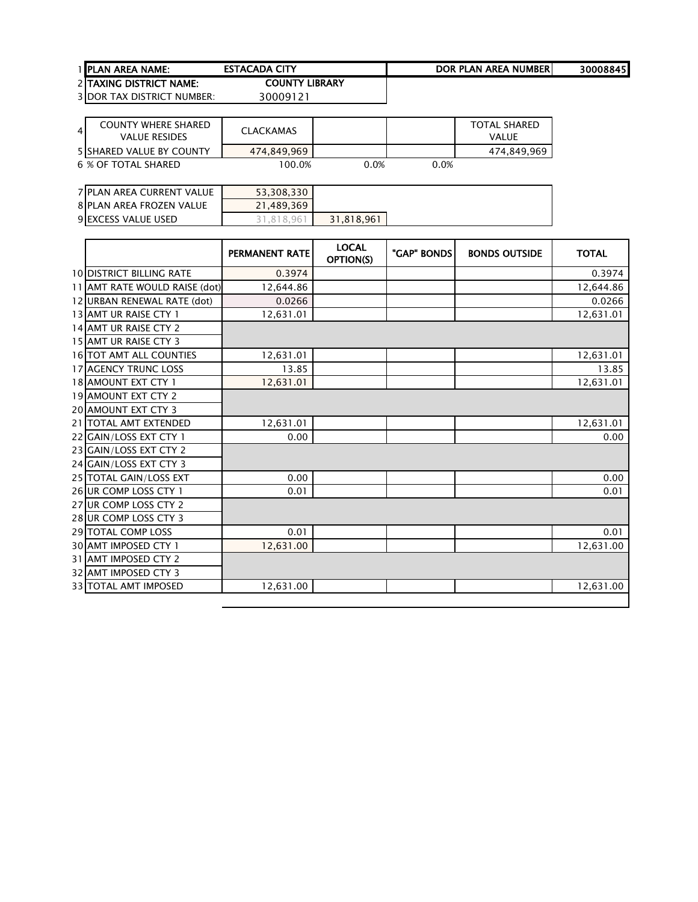| <b>1 IPLAN AREA NAME:</b> | <b>ESTACADA CITY</b> | DOR PLAN AREA NUMBERI | 30008845 |
|---------------------------|----------------------|-----------------------|----------|
| 2 ITAXING DISTRICT NAME:  | COUNTY LIBRARY       |                       |          |
|                           | --------             |                       |          |

| 41 | <b>COUNTY WHERE SHARED</b><br>VALUE RESIDES | CLACKAMAS   |      |      | <b>TOTAL SHARED</b><br>VALUE |
|----|---------------------------------------------|-------------|------|------|------------------------------|
|    | <b>5 ISHARED VALUE BY COUNTY</b>            | 474.849.969 |      |      | 474,849,969                  |
|    | 6 % OF TOTAL SHARED                         | 100.0%      | 0.0% | 0.0% |                              |

| 7 PLAN AREA CURRENT VALUE  | 53,308,330 |            |
|----------------------------|------------|------------|
| 8 PLAN AREA FROZEN VALUE   | 21.489.369 |            |
| <b>9 EXCESS VALUE USED</b> | 31.818.961 | 31.818.961 |

|                                 | PERMANENT RATE | <b>LOCAL</b><br>OPTION(S) | "GAP" BONDS | <b>BONDS OUTSIDE</b> | <b>TOTAL</b> |
|---------------------------------|----------------|---------------------------|-------------|----------------------|--------------|
| <b>10 DISTRICT BILLING RATE</b> | 0.3974         |                           |             |                      | 0.3974       |
| 11 AMT RATE WOULD RAISE (dot)   | 12,644.86      |                           |             |                      | 12,644.86    |
| 12 URBAN RENEWAL RATE (dot)     | 0.0266         |                           |             |                      | 0.0266       |
| 13 AMT UR RAISE CTY 1           | 12,631.01      |                           |             |                      | 12,631.01    |
| 14 AMT UR RAISE CTY 2           |                |                           |             |                      |              |
| 15 AMT UR RAISE CTY 3           |                |                           |             |                      |              |
| 16 TOT AMT ALL COUNTIES         | 12,631.01      |                           |             |                      | 12,631.01    |
| <b>17 AGENCY TRUNC LOSS</b>     | 13.85          |                           |             |                      | 13.85        |
| 18 AMOUNT EXT CTY 1             | 12,631.01      |                           |             |                      | 12,631.01    |
| <b>19 AMOUNT EXT CTY 2</b>      |                |                           |             |                      |              |
| <b>20 AMOUNT EXT CTY 3</b>      |                |                           |             |                      |              |
| 21   TOTAL AMT EXTENDED         | 12,631.01      |                           |             |                      | 12,631.01    |
| 22 GAIN/LOSS EXT CTY 1          | 0.00           |                           |             |                      | 0.00         |
| 23 GAIN/LOSS EXT CTY 2          |                |                           |             |                      |              |
| 24 GAIN/LOSS EXT CTY 3          |                |                           |             |                      |              |
| 25 TOTAL GAIN/LOSS EXT          | 0.00           |                           |             |                      | 0.00         |
| 26 UR COMP LOSS CTY 1           | 0.01           |                           |             |                      | 0.01         |
| 27 UR COMP LOSS CTY 2           |                |                           |             |                      |              |
| 28 UR COMP LOSS CTY 3           |                |                           |             |                      |              |
| 29 TOTAL COMP LOSS              | 0.01           |                           |             |                      | 0.01         |
| <b>30 AMT IMPOSED CTY 1</b>     | 12,631.00      |                           |             |                      | 12,631.00    |
| 31 AMT IMPOSED CTY 2            |                |                           |             |                      |              |
| 32 AMT IMPOSED CTY 3            |                |                           |             |                      |              |
| <b>33 TOTAL AMT IMPOSED</b>     | 12,631.00      |                           |             |                      | 12,631.00    |
|                                 |                |                           |             |                      |              |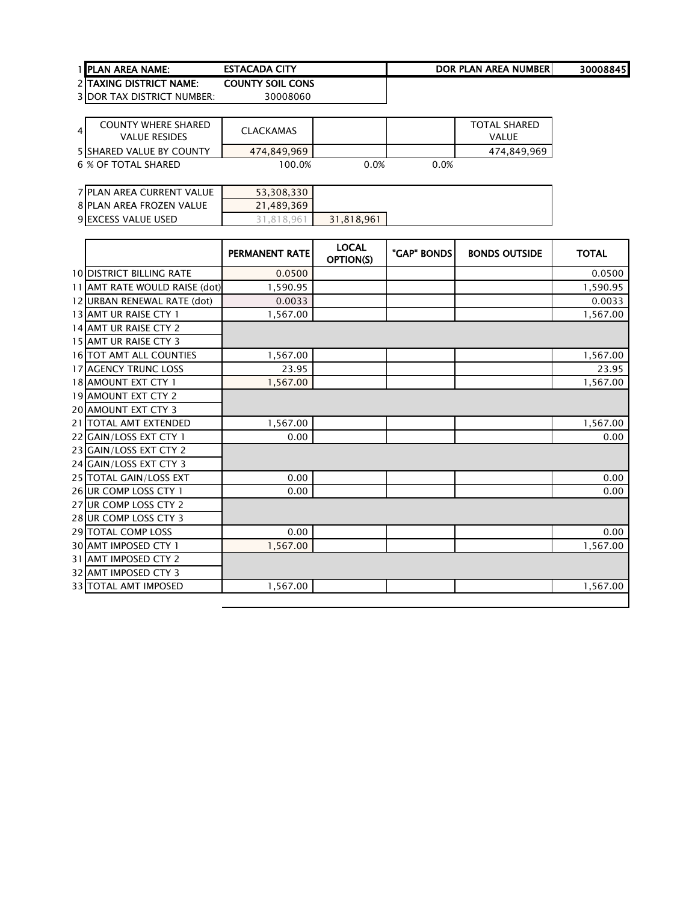| <b>1 IPLAN AREA NAME:</b>       | <b>ESTACADA CITY</b>    | DOR PLAN AREA NUMBERI | 30008845 |
|---------------------------------|-------------------------|-----------------------|----------|
| <b>2 ITAXING DISTRICT NAME:</b> | <b>COUNTY SOIL CONS</b> |                       |          |

| 4 | <b>COUNTY WHERE SHARED</b><br>VALUE RESIDES | CLACKAMAS   |         |      | <b>TOTAL SHARED</b><br><b>VALUE</b> |
|---|---------------------------------------------|-------------|---------|------|-------------------------------------|
|   | <b>5 SHARED VALUE BY COUNTY</b>             | 474.849.969 |         |      | 474,849,969                         |
|   | 6 % OF TOTAL SHARED                         | $100.0\%$   | $0.0\%$ | 0.0% |                                     |

| 7 PLAN AREA CURRENT VALUE | 53,308,330 |            |
|---------------------------|------------|------------|
| 8 PLAN AREA FROZEN VALUE  | 21,489,369 |            |
| 9 EXCESS VALUE USED       | .818.96    | 31,818,961 |

|                                 | PERMANENT RATE | <b>LOCAL</b><br>OPTION(S) | "GAP" BONDS | <b>BONDS OUTSIDE</b> | <b>TOTAL</b> |
|---------------------------------|----------------|---------------------------|-------------|----------------------|--------------|
| <b>10 DISTRICT BILLING RATE</b> | 0.0500         |                           |             |                      | 0.0500       |
| 11 AMT RATE WOULD RAISE (dot)   | 1.590.95       |                           |             |                      | 1.590.95     |
| 12 URBAN RENEWAL RATE (dot)     | 0.0033         |                           |             |                      | 0.0033       |
| 13 AMT UR RAISE CTY 1           | 1,567.00       |                           |             |                      | 1,567.00     |
| 14 AMT UR RAISE CTY 2           |                |                           |             |                      |              |
| 15 AMT UR RAISE CTY 3           |                |                           |             |                      |              |
| 16 TOT AMT ALL COUNTIES         | 1,567.00       |                           |             |                      | 1,567.00     |
| <b>17 AGENCY TRUNC LOSS</b>     | 23.95          |                           |             |                      | 23.95        |
| 18 AMOUNT EXT CTY 1             | 1,567.00       |                           |             |                      | 1,567.00     |
| <b>19 AMOUNT EXT CTY 2</b>      |                |                           |             |                      |              |
| <b>20 AMOUNT EXT CTY 3</b>      |                |                           |             |                      |              |
| 21   TOTAL AMT EXTENDED         | 1,567.00       |                           |             |                      | 1,567.00     |
| 22 GAIN/LOSS EXT CTY 1          | 0.00           |                           |             |                      | 0.00         |
| 23 GAIN/LOSS EXT CTY 2          |                |                           |             |                      |              |
| 24 GAIN/LOSS EXT CTY 3          |                |                           |             |                      |              |
| 25 TOTAL GAIN/LOSS EXT          | 0.00           |                           |             |                      | 0.00         |
| 26 UR COMP LOSS CTY 1           | 0.00           |                           |             |                      | 0.00         |
| 27 UR COMP LOSS CTY 2           |                |                           |             |                      |              |
| 28 UR COMP LOSS CTY 3           |                |                           |             |                      |              |
| 29 TOTAL COMP LOSS              | 0.00           |                           |             |                      | 0.00         |
| <b>30 AMT IMPOSED CTY 1</b>     | 1,567.00       |                           |             |                      | 1,567.00     |
| 31 AMT IMPOSED CTY 2            |                |                           |             |                      |              |
| <b>32 AMT IMPOSED CTY 3</b>     |                |                           |             |                      |              |
| <b>33 TOTAL AMT IMPOSED</b>     | 1,567.00       |                           |             |                      | 1,567.00     |
|                                 |                |                           |             |                      |              |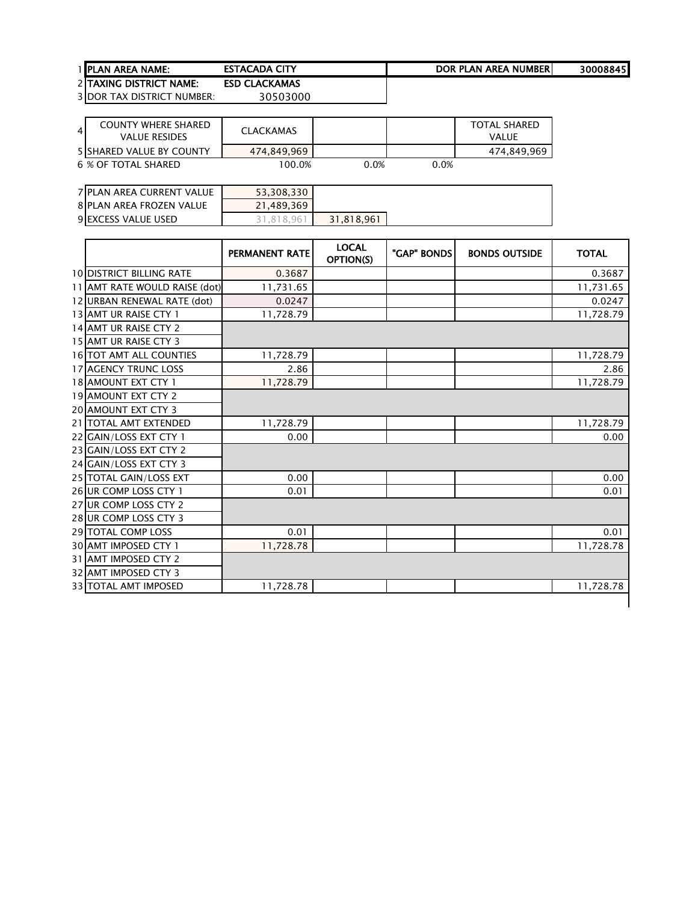| 1 IPLAN AREA NAME:                        | <b>ESTACADA CITY</b>                                                                                                                                                                                                                                                                                                                                                                                                         | DOR PLAN AREA NUMBERI | 30008845 |
|-------------------------------------------|------------------------------------------------------------------------------------------------------------------------------------------------------------------------------------------------------------------------------------------------------------------------------------------------------------------------------------------------------------------------------------------------------------------------------|-----------------------|----------|
| <b>2 ITAXING DISTRICT NAME:</b>           | <b>ESD CLACKAMAS</b>                                                                                                                                                                                                                                                                                                                                                                                                         |                       |          |
| $20000$ T <sub>AV</sub> DICTRICT ULUARED. | $\begin{array}{c} \n\mathbf{1} & \mathbf{1} & \mathbf{1} & \mathbf{1} & \mathbf{1} & \mathbf{1} & \mathbf{1} & \mathbf{1} & \mathbf{1} & \mathbf{1} & \mathbf{1} & \mathbf{1} & \mathbf{1} & \mathbf{1} & \mathbf{1} & \mathbf{1} & \mathbf{1} & \mathbf{1} & \mathbf{1} & \mathbf{1} & \mathbf{1} & \mathbf{1} & \mathbf{1} & \mathbf{1} & \mathbf{1} & \mathbf{1} & \mathbf{1} & \mathbf{1} & \mathbf{1} & \mathbf{1} & \$ |                       |          |

| $\overline{4}$ | COUNTY WHERE SHARED<br>VALUE RESIDES | CLACKAMAS   |         |         | <b>TOTAL SHARED</b><br>VALUE |
|----------------|--------------------------------------|-------------|---------|---------|------------------------------|
|                | 5 SHARED VALUE BY COUNTY             | 474.849.969 |         |         | 474,849,969                  |
|                | 6 % OF TOTAL SHARED                  | $100.0\%$   | $0.0\%$ | $0.0\%$ |                              |

| 7 PLAN AREA CURRENT VALUE | 53,308,330  |            |
|---------------------------|-------------|------------|
| 8 PLAN AREA FROZEN VALUE  | 21,489,369  |            |
| 9 EXCESS VALUE USED       | 8.96<br>-81 | 31,818,961 |

|                                 | <b>PERMANENT RATE</b> | <b>LOCAL</b><br><b>OPTION(S)</b> | "GAP" BONDS | <b>BONDS OUTSIDE</b> | <b>TOTAL</b> |
|---------------------------------|-----------------------|----------------------------------|-------------|----------------------|--------------|
| <b>10 DISTRICT BILLING RATE</b> | 0.3687                |                                  |             |                      | 0.3687       |
| 11 AMT RATE WOULD RAISE (dot)   | 11,731.65             |                                  |             |                      | 11,731.65    |
| 12 URBAN RENEWAL RATE (dot)     | 0.0247                |                                  |             |                      | 0.0247       |
| 13 AMT UR RAISE CTY 1           | 11,728.79             |                                  |             |                      | 11,728.79    |
| 14 AMT UR RAISE CTY 2           |                       |                                  |             |                      |              |
| 15 AMT UR RAISE CTY 3           |                       |                                  |             |                      |              |
| 16 TOT AMT ALL COUNTIES         | 11,728.79             |                                  |             |                      | 11,728.79    |
| <b>17 AGENCY TRUNC LOSS</b>     | 2.86                  |                                  |             |                      | 2.86         |
| 18 AMOUNT EXT CTY 1             | 11,728.79             |                                  |             |                      | 11,728.79    |
| <b>19 AMOUNT EXT CTY 2</b>      |                       |                                  |             |                      |              |
| <b>20 AMOUNT EXT CTY 3</b>      |                       |                                  |             |                      |              |
| 21   TOTAL AMT EXTENDED         | 11,728.79             |                                  |             |                      | 11,728.79    |
| 22 GAIN/LOSS EXT CTY 1          | 0.00                  |                                  |             |                      | 0.00         |
| 23 GAIN/LOSS EXT CTY 2          |                       |                                  |             |                      |              |
| 24 GAIN/LOSS EXT CTY 3          |                       |                                  |             |                      |              |
| 25 TOTAL GAIN/LOSS EXT          | 0.00                  |                                  |             |                      | 0.00         |
| 26 UR COMP LOSS CTY 1           | 0.01                  |                                  |             |                      | 0.01         |
| 27 UR COMP LOSS CTY 2           |                       |                                  |             |                      |              |
| 28 UR COMP LOSS CTY 3           |                       |                                  |             |                      |              |
| <b>29 TOTAL COMP LOSS</b>       | 0.01                  |                                  |             |                      | 0.01         |
| 30 AMT IMPOSED CTY 1            | 11,728.78             |                                  |             |                      | 11,728.78    |
| 31 AMT IMPOSED CTY 2            |                       |                                  |             |                      |              |
| 32 AMT IMPOSED CTY 3            |                       |                                  |             |                      |              |
| <b>33 TOTAL AMT IMPOSED</b>     | 11,728.78             |                                  |             |                      | 11,728.78    |
|                                 |                       |                                  |             |                      |              |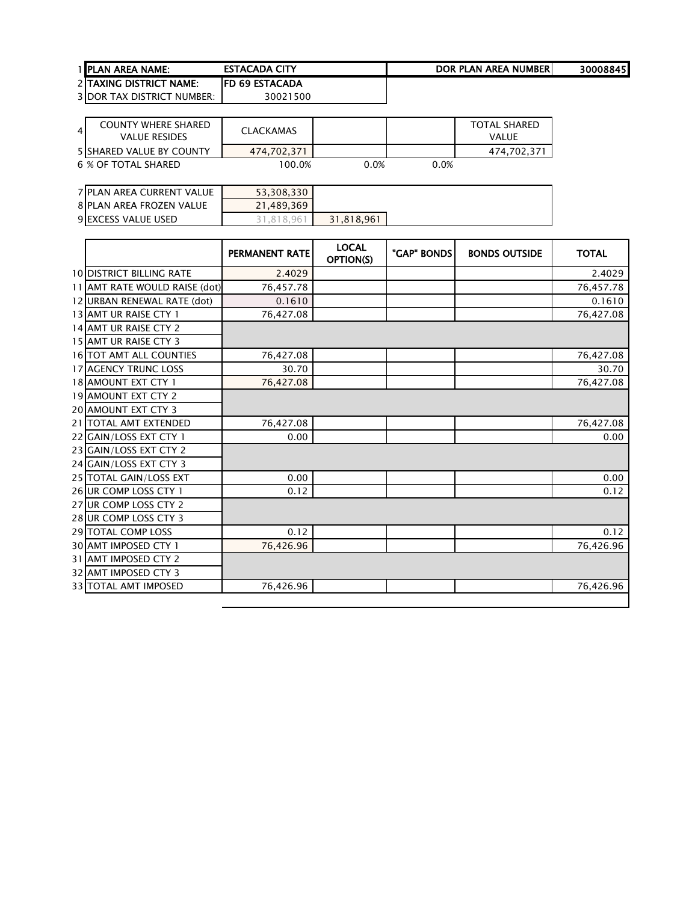| <b>I IPLAN AREA NAME:</b>         | <b>ESTACADA CITY</b>   | DOR PLAN AREA NUMBERI | 30008845 |
|-----------------------------------|------------------------|-----------------------|----------|
| <b>2 TAXING DISTRICT NAME:</b>    | <b>IFD 69 ESTACADA</b> |                       |          |
| <b>3 DOR TAX DISTRICT NUMBER:</b> | 30021500               |                       |          |

| $\overline{4}$ | <b>COUNTY WHERE SHARED</b><br><b>VALUE RESIDES</b> | <b>CLACKAMAS</b> |         |         | <b>TOTAL SHARED</b><br>VALUE |
|----------------|----------------------------------------------------|------------------|---------|---------|------------------------------|
|                | 5 SHARED VALUE BY COUNTY                           | 474.702.371      |         |         | 474.702.371                  |
|                | 6 % OF TOTAL SHARED                                | 100.0%           | $0.0\%$ | $0.0\%$ |                              |

| 7 PLAN AREA CURRENT VALUE | 53,308,330 |            |
|---------------------------|------------|------------|
| 8 PLAN AREA FROZEN VALUE  | 21,489,369 |            |
| 9 EXCESS VALUE USED       | 31.818.961 | 31,818,961 |

|                                 | <b>PERMANENT RATE</b> | <b>LOCAL</b><br>OPTION(S) | "GAP" BONDS | <b>BONDS OUTSIDE</b> | <b>TOTAL</b> |
|---------------------------------|-----------------------|---------------------------|-------------|----------------------|--------------|
| <b>10 DISTRICT BILLING RATE</b> | 2.4029                |                           |             |                      | 2.4029       |
| 11 AMT RATE WOULD RAISE (dot)   | 76,457.78             |                           |             |                      | 76,457.78    |
| 12 URBAN RENEWAL RATE (dot)     | 0.1610                |                           |             |                      | 0.1610       |
| 13 AMT UR RAISE CTY 1           | 76,427.08             |                           |             |                      | 76,427.08    |
| 14 AMT UR RAISE CTY 2           |                       |                           |             |                      |              |
| 15 AMT UR RAISE CTY 3           |                       |                           |             |                      |              |
| <b>16 TOT AMT ALL COUNTIES</b>  | 76,427.08             |                           |             |                      | 76,427.08    |
| <b>17 AGENCY TRUNC LOSS</b>     | 30.70                 |                           |             |                      | 30.70        |
| 18 AMOUNT EXT CTY 1             | 76,427.08             |                           |             |                      | 76,427.08    |
| 19 AMOUNT EXT CTY 2             |                       |                           |             |                      |              |
| <b>20 AMOUNT EXT CTY 3</b>      |                       |                           |             |                      |              |
| 21   TOTAL AMT EXTENDED         | 76,427.08             |                           |             |                      | 76,427.08    |
| 22 GAIN/LOSS EXT CTY 1          | 0.00                  |                           |             |                      | 0.00         |
| 23 GAIN/LOSS EXT CTY 2          |                       |                           |             |                      |              |
| 24 GAIN/LOSS EXT CTY 3          |                       |                           |             |                      |              |
| 25 TOTAL GAIN/LOSS EXT          | 0.00                  |                           |             |                      | 0.00         |
| 26 UR COMP LOSS CTY 1           | 0.12                  |                           |             |                      | 0.12         |
| 27 UR COMP LOSS CTY 2           |                       |                           |             |                      |              |
| 28 UR COMP LOSS CTY 3           |                       |                           |             |                      |              |
| 29 TOTAL COMP LOSS              | 0.12                  |                           |             |                      | 0.12         |
| 30 AMT IMPOSED CTY 1            | 76,426.96             |                           |             |                      | 76,426.96    |
| 31 AMT IMPOSED CTY 2            |                       |                           |             |                      |              |
| 32 AMT IMPOSED CTY 3            |                       |                           |             |                      |              |
| <b>33 TOTAL AMT IMPOSED</b>     | 76,426.96             |                           |             |                      | 76,426.96    |
|                                 |                       |                           |             |                      |              |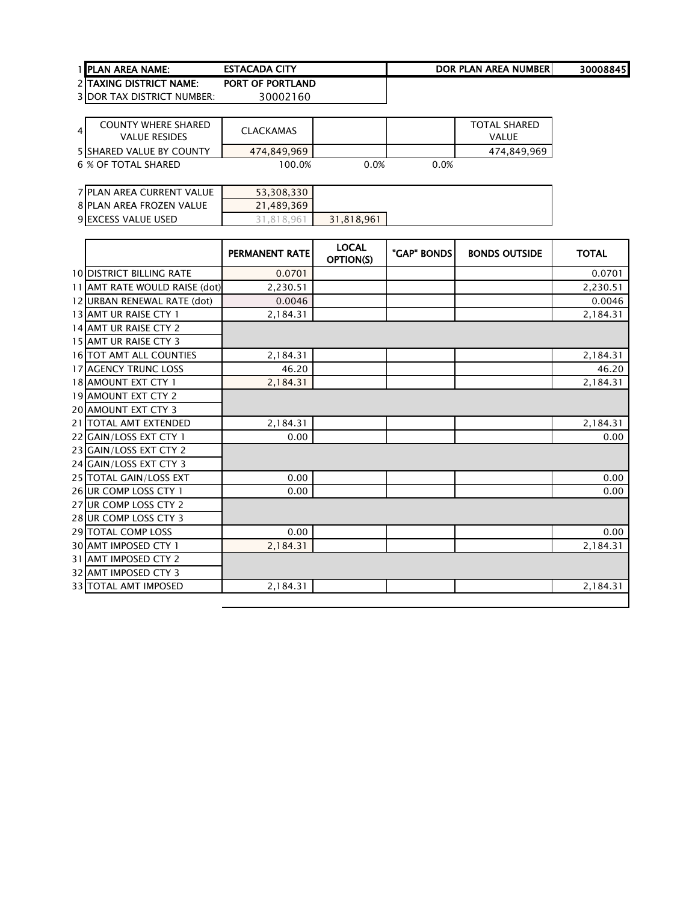| <b>1 IPLAN AREA NAME:</b>       | <b>ESTACADA CITY</b>    | DOR PLAN AREA NUMBERI | 30008845 |
|---------------------------------|-------------------------|-----------------------|----------|
| <b>2 ITAXING DISTRICT NAME:</b> | <b>PORT OF PORTLAND</b> |                       |          |

| 4 | <b>COUNTY WHERE SHARED</b><br>VALUE RESIDES | CLACKAMAS   |         |      | <b>TOTAL SHARED</b><br><b>VALUE</b> |
|---|---------------------------------------------|-------------|---------|------|-------------------------------------|
|   | <b>5 SHARED VALUE BY COUNTY</b>             | 474.849.969 |         |      | 474,849,969                         |
|   | 6 % OF TOTAL SHARED                         | $100.0\%$   | $0.0\%$ | 0.0% |                                     |

| 7 PLAN AREA CURRENT VALUE | 53,308,330 |            |
|---------------------------|------------|------------|
| 8 PLAN AREA FROZEN VALUE  | 21,489,369 |            |
| 9 EXCESS VALUE USED       | . . 818.96 | 31,818,961 |

|                                 | PERMANENT RATE | <b>LOCAL</b><br>OPTION(S) | "GAP" BONDS | <b>BONDS OUTSIDE</b> | <b>TOTAL</b> |
|---------------------------------|----------------|---------------------------|-------------|----------------------|--------------|
| <b>10 DISTRICT BILLING RATE</b> | 0.0701         |                           |             |                      | 0.0701       |
| 11 AMT RATE WOULD RAISE (dot)   | 2.230.51       |                           |             |                      | 2.230.51     |
| 12 URBAN RENEWAL RATE (dot)     | 0.0046         |                           |             |                      | 0.0046       |
| 13 AMT UR RAISE CTY 1           | 2,184.31       |                           |             |                      | 2,184.31     |
| 14 AMT UR RAISE CTY 2           |                |                           |             |                      |              |
| 15 AMT UR RAISE CTY 3           |                |                           |             |                      |              |
| 16 TOT AMT ALL COUNTIES         | 2,184.31       |                           |             |                      | 2,184.31     |
| <b>17 AGENCY TRUNC LOSS</b>     | 46.20          |                           |             |                      | 46.20        |
| 18 AMOUNT EXT CTY 1             | 2,184.31       |                           |             |                      | 2,184.31     |
| <b>19 AMOUNT EXT CTY 2</b>      |                |                           |             |                      |              |
| <b>20 AMOUNT EXT CTY 3</b>      |                |                           |             |                      |              |
| 21   TOTAL AMT EXTENDED         | 2,184.31       |                           |             |                      | 2,184.31     |
| 22 GAIN/LOSS EXT CTY 1          | 0.00           |                           |             |                      | 0.00         |
| 23 GAIN/LOSS EXT CTY 2          |                |                           |             |                      |              |
| 24 GAIN/LOSS EXT CTY 3          |                |                           |             |                      |              |
| 25 TOTAL GAIN/LOSS EXT          | 0.00           |                           |             |                      | 0.00         |
| 26 UR COMP LOSS CTY 1           | 0.00           |                           |             |                      | 0.00         |
| 27 UR COMP LOSS CTY 2           |                |                           |             |                      |              |
| 28 UR COMP LOSS CTY 3           |                |                           |             |                      |              |
| 29 TOTAL COMP LOSS              | 0.00           |                           |             |                      | 0.00         |
| <b>30 AMT IMPOSED CTY 1</b>     | 2,184.31       |                           |             |                      | 2,184.31     |
| 31 AMT IMPOSED CTY 2            |                |                           |             |                      |              |
| <b>32 AMT IMPOSED CTY 3</b>     |                |                           |             |                      |              |
| <b>33 TOTAL AMT IMPOSED</b>     | 2,184.31       |                           |             |                      | 2,184.31     |
|                                 |                |                           |             |                      |              |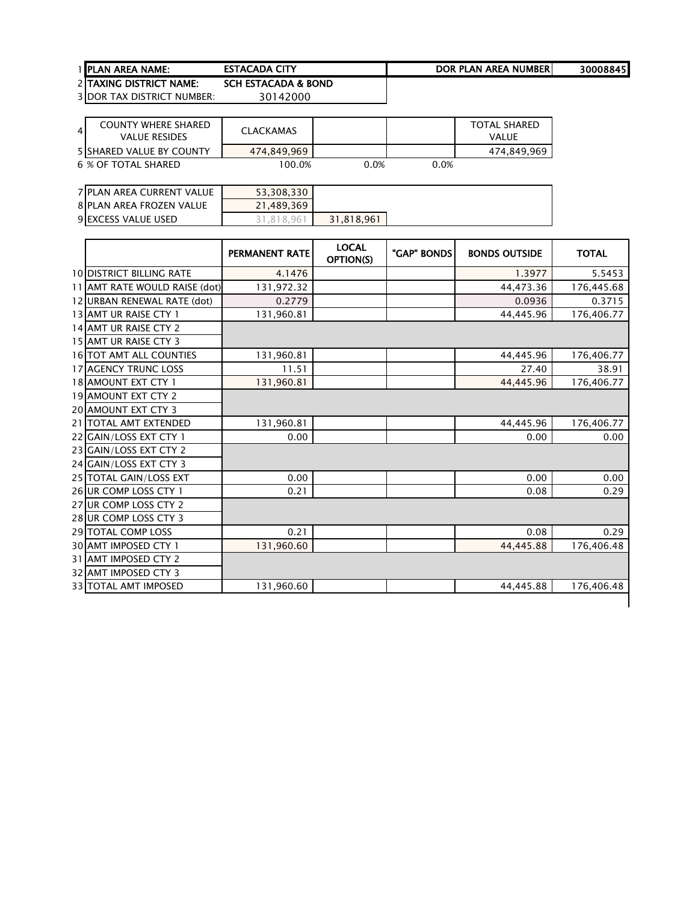| 1 IPLAN AREA NAME:             | <b>ESTACADA (</b><br><b>CITY</b><br>. | <b>AREA NUMBER</b><br><b>DOR PLAN</b> | 30008845 |
|--------------------------------|---------------------------------------|---------------------------------------|----------|
| <b>DITAVING DICTRICT NAME:</b> | CCU ECTACADA & DOND                   |                                       |          |

2 TAXING DISTRICT NAME: SCH ESTACADA & BOND<br>3 DOR TAX DISTRICT NUMBER: 30142000 3 DOR TAX DISTRICT NUMBER:

| <b>COUNTY WHERE SHARED</b><br>4<br><b>VALUE RESIDES</b> | CLACKAMAS   |      |      | <b>TOTAL SHARED</b><br>VAI UF |
|---------------------------------------------------------|-------------|------|------|-------------------------------|
| <b>5ISHARED VALUE BY COUNTY</b>                         | 474.849.969 |      |      | 474,849,969                   |
| 6 % OF TOTAL SHARED                                     | 100.0%      | 0.0% | 0.0% |                               |

| 7 PLAN AREA CURRENT VALUE | 53,308,330 |            |
|---------------------------|------------|------------|
| 8 PLAN AREA FROZEN VALUE  | 21,489,369 |            |
| 9 EXCESS VALUE USED       | .818.96    | 31,818,961 |

|                                 | <b>PERMANENT RATE</b> | <b>LOCAL</b><br><b>OPTION(S)</b> | "GAP" BONDS | <b>BONDS OUTSIDE</b> | <b>TOTAL</b> |
|---------------------------------|-----------------------|----------------------------------|-------------|----------------------|--------------|
| <b>10 DISTRICT BILLING RATE</b> | 4.1476                |                                  |             | 1.3977               | 5.5453       |
| 11 AMT RATE WOULD RAISE (dot)   | 131,972.32            |                                  |             | 44,473.36            | 176,445.68   |
| 12 URBAN RENEWAL RATE (dot)     | 0.2779                |                                  |             | 0.0936               | 0.3715       |
| 13 AMT UR RAISE CTY 1           | 131,960.81            |                                  |             | 44,445.96            | 176,406.77   |
| 14 AMT UR RAISE CTY 2           |                       |                                  |             |                      |              |
| 15 AMT UR RAISE CTY 3           |                       |                                  |             |                      |              |
| 16 TOT AMT ALL COUNTIES         | 131,960.81            |                                  |             | 44,445.96            | 176,406.77   |
| <b>17 AGENCY TRUNC LOSS</b>     | 11.51                 |                                  |             | 27.40                | 38.91        |
| 18 AMOUNT EXT CTY 1             | 131,960.81            |                                  |             | 44,445.96            | 176,406.77   |
| <b>19 AMOUNT EXT CTY 2</b>      |                       |                                  |             |                      |              |
| <b>20 AMOUNT EXT CTY 3</b>      |                       |                                  |             |                      |              |
| 21   TOTAL AMT EXTENDED         | 131,960.81            |                                  |             | 44,445.96            | 176,406.77   |
| 22 GAIN/LOSS EXT CTY 1          | 0.00                  |                                  |             | 0.00                 | 0.00         |
| 23 GAIN/LOSS EXT CTY 2          |                       |                                  |             |                      |              |
| 24 GAIN/LOSS EXT CTY 3          |                       |                                  |             |                      |              |
| 25 TOTAL GAIN/LOSS EXT          | 0.00                  |                                  |             | 0.00                 | 0.00         |
| 26 UR COMP LOSS CTY 1           | 0.21                  |                                  |             | 0.08                 | 0.29         |
| 27 UR COMP LOSS CTY 2           |                       |                                  |             |                      |              |
| 28 UR COMP LOSS CTY 3           |                       |                                  |             |                      |              |
| 29 TOTAL COMP LOSS              | 0.21                  |                                  |             | 0.08                 | 0.29         |
| <b>30 AMT IMPOSED CTY 1</b>     | 131,960.60            |                                  |             | 44,445.88            | 176,406.48   |
| 31 AMT IMPOSED CTY 2            |                       |                                  |             |                      |              |
| 32 AMT IMPOSED CTY 3            |                       |                                  |             |                      |              |
| <b>33 TOTAL AMT IMPOSED</b>     | 131,960.60            |                                  |             | 44.445.88            | 176,406.48   |
|                                 |                       |                                  |             |                      |              |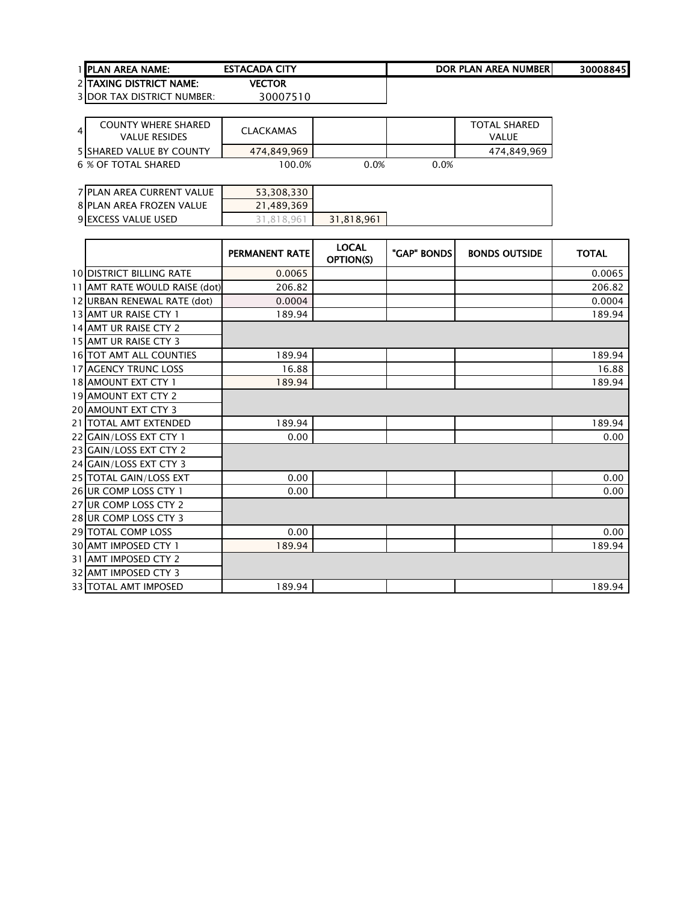| <b>1 IPLAN AREA NAME:</b>      | <b>ESTACADA CITY</b> | DOR PLAN AREA NUMBERI | 30008845 |
|--------------------------------|----------------------|-----------------------|----------|
| 2 TAXING DISTRICT NAME:        | VECTOR               |                       |          |
| $2$ IDOD TAV DICTDICT NIHMDED. | 20007510             |                       |          |

| COUNTY WHERE SHARED<br>$\overline{4}$<br>VALUE RESIDES | CLACKAMAS   |         |      | <b>TOTAL SHARED</b><br>VALUE |
|--------------------------------------------------------|-------------|---------|------|------------------------------|
| <b>5 SHARED VALUE BY COUNTY</b>                        | 474.849.969 |         |      | 474.849.969                  |
| 6 % OF TOTAL SHARED                                    | 100.0%      | $0.0\%$ | 0.0% |                              |

| 7 PLAN AREA CURRENT VALUE  | 53,308,330 |            |
|----------------------------|------------|------------|
| 8 PLAN AREA FROZEN VALUE   | 21,489,369 |            |
| <b>9 EXCESS VALUE USED</b> | 31.818.96  | 31,818,961 |

|                                 | PERMANENT RATE | <b>LOCAL</b><br><b>OPTION(S)</b> | "GAP" BONDS | <b>BONDS OUTSIDE</b> | <b>TOTAL</b> |
|---------------------------------|----------------|----------------------------------|-------------|----------------------|--------------|
| <b>10 DISTRICT BILLING RATE</b> | 0.0065         |                                  |             |                      | 0.0065       |
| 11 AMT RATE WOULD RAISE (dot)   | 206.82         |                                  |             |                      | 206.82       |
| 12 URBAN RENEWAL RATE (dot)     | 0.0004         |                                  |             |                      | 0.0004       |
| 13 AMT UR RAISE CTY 1           | 189.94         |                                  |             |                      | 189.94       |
| 14 AMT UR RAISE CTY 2           |                |                                  |             |                      |              |
| 15 AMT UR RAISE CTY 3           |                |                                  |             |                      |              |
| <b>16 TOT AMT ALL COUNTIES</b>  | 189.94         |                                  |             |                      | 189.94       |
| <b>17 AGENCY TRUNC LOSS</b>     | 16.88          |                                  |             |                      | 16.88        |
| 18 AMOUNT EXT CTY 1             | 189.94         |                                  |             |                      | 189.94       |
| 19 AMOUNT EXT CTY 2             |                |                                  |             |                      |              |
| 20 AMOUNT EXT CTY 3             |                |                                  |             |                      |              |
| 21   TOTAL AMT EXTENDED         | 189.94         |                                  |             |                      | 189.94       |
| 22 GAIN/LOSS EXT CTY 1          | 0.00           |                                  |             |                      | 0.00         |
| 23 GAIN/LOSS EXT CTY 2          |                |                                  |             |                      |              |
| 24 GAIN/LOSS EXT CTY 3          |                |                                  |             |                      |              |
| 25 TOTAL GAIN/LOSS EXT          | 0.00           |                                  |             |                      | 0.00         |
| 26 UR COMP LOSS CTY 1           | 0.00           |                                  |             |                      | 0.00         |
| 27 UR COMP LOSS CTY 2           |                |                                  |             |                      |              |
| 28 UR COMP LOSS CTY 3           |                |                                  |             |                      |              |
| 29 TOTAL COMP LOSS              | 0.00           |                                  |             |                      | 0.00         |
| 30 AMT IMPOSED CTY 1            | 189.94         |                                  |             |                      | 189.94       |
| 31 AMT IMPOSED CTY 2            |                |                                  |             |                      |              |
| 32 AMT IMPOSED CTY 3            |                |                                  |             |                      |              |
| 33 TOTAL AMT IMPOSED            | 189.94         |                                  |             |                      | 189.94       |